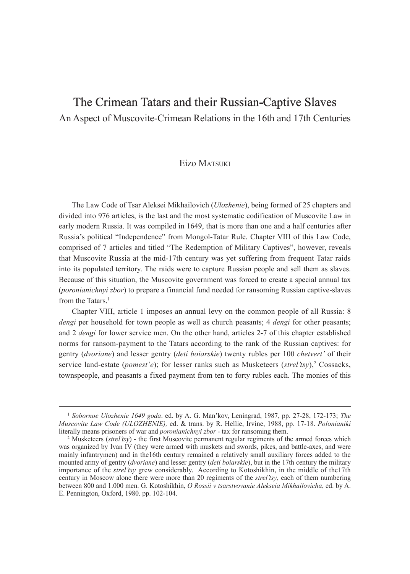# The Crimean Tatars and their Russian-Captive Slaves

An Aspect of Muscovite-Crimean Relations in the 16th and 17th Centuries

# Eizo MATSUKI

The Law Code of Tsar Aleksei Mikhailovich (*Ulozhenie*), being formed of 25 chapters and divided into 976 articles, is the last and the most systematic codification of Muscovite Law in early modern Russia. It was compiled in 1649, that is more than one and a half centuries after Russia's political "Independence" from Mongol-Tatar Rule. Chapter VIII of this Law Code, comprised of 7 articles and titled "The Redemption of Military Captives", however, reveals that Muscovite Russia at the mid-17th century was yet suffering from frequent Tatar raids into its populated territory. The raids were to capture Russian people and sell them as slaves. Because of this situation, the Muscovite government was forced to create a special annual tax (*poronianichnyi zbor*) to prepare a financial fund needed for ransoming Russian captive-slaves from the Tatars.<sup>1</sup>

Chapter VIII, article 1 imposes an annual levy on the common people of all Russia: 8 *dengi* per household for town people as well as church peasants; 4 *dengi* for other peasants; and 2 *dengi* for lower service men. On the other hand, articles 2-7 of this chapter established norms for ransom-payment to the Tatars according to the rank of the Russian captives: for gentry (*dvoriane*) and lesser gentry (*deti boiarskie*) twenty rubles per 100 *chetvert'* of their service land-estate (*pomest'e*); for lesser ranks such as Musketeers (*strel'tsy*),<sup>2</sup> Cossacks, townspeople, and peasants a fixed payment from ten to forty rubles each. The monies of this

<sup>1</sup> *Sobornoe Ulozhenie 1649 goda*. ed. by A. G. Man'kov, Leningrad, 1987, pp. 27-28, 172-173; *The Muscovite Law Code (ULOZHENIE),* ed. & trans. by R. Hellie, Irvine, 1988, pp. 17-18. *Polonianiki* literally means prisoners of war and *poronianichnyi zbor* - tax for ransoming them.

<sup>2</sup> Musketeers (*strel'tsy*) - the first Muscovite permanent regular regiments of the armed forces which was organized by Ivan IV (they were armed with muskets and swords, pikes, and battle-axes, and were mainly infantrymen) and in the16th century remained a relatively small auxiliary forces added to the mounted army of gentry (*dvoriane*) and lesser gentry (*deti boiarskie*), but in the 17th century the military importance of the *strel'tsy* grew considerably. According to Kotoshikhin, in the middle of the17th century in Moscow alone there were more than 20 regiments of the *strel'tsy*, each of them numbering between 800 and 1.000 men. G. Kotoshikhin, *O Rossii v tsarstvovanie Alekseia Mikhailovicha*, ed. by A. E. Pennington, Oxford, 1980. pp. 102-104.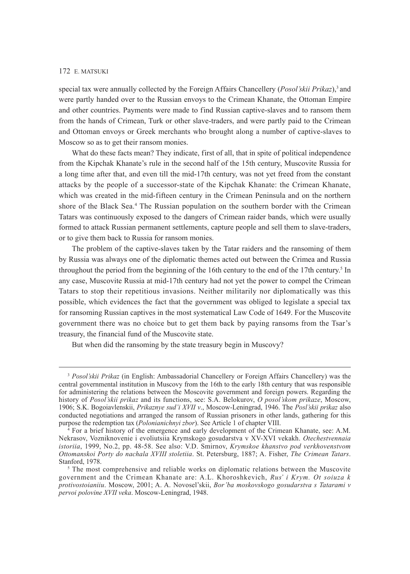special tax were annually collected by the Foreign Affairs Chancellery (*Posol'skii Prikaz*),<sup>3</sup> and were partly handed over to the Russian envoys to the Crimean Khanate, the Ottoman Empire and other countries. Payments were made to find Russian captive-slaves and to ransom them from the hands of Crimean, Turk or other slave-traders, and were partly paid to the Crimean and Ottoman envoys or Greek merchants who brought along a number of captive-slaves to Moscow so as to get their ransom monies.

What do these facts mean? They indicate, first of all, that in spite of political independence from the Kipchak Khanate's rule in the second half of the 15th century, Muscovite Russia for a long time after that, and even till the mid-17th century, was not yet freed from the constant attacks by the people of a successor-state of the Kipchak Khanate: the Crimean Khanate, which was created in the mid-fifteen century in the Crimean Peninsula and on the northern shore of the Black Sea.<sup>4</sup> The Russian population on the southern border with the Crimean Tatars was continuously exposed to the dangers of Crimean raider bands, which were usually formed to attack Russian permanent settlements, capture people and sell them to slave-traders, or to give them back to Russia for ransom monies.

The problem of the captive-slaves taken by the Tatar raiders and the ransoming of them by Russia was always one of the diplomatic themes acted out between the Crimea and Russia throughout the period from the beginning of the 16th century to the end of the 17th century.<sup>5</sup> In any case, Muscovite Russia at mid-17th century had not yet the power to compel the Crimean Tatars to stop their repetitious invasions. Neither militarily nor diplomatically was this possible, which evidences the fact that the government was obliged to legislate a special tax for ransoming Russian captives in the most systematical Law Code of 1649. For the Muscovite government there was no choice but to get them back by paying ransoms from the Tsar's treasury, the financial fund of the Muscovite state.

But when did the ransoming by the state treasury begin in Muscovy?

<sup>&</sup>lt;sup>3</sup> *Posol'skii Prikaz* (in English: Ambassadorial Chancellery or Foreign Affairs Chancellery) was the central governmental institution in Muscovy from the 16th to the early 18th century that was responsible for administering the relations between the Moscovite government and foreign powers. Regarding the history of *Posol'skii prikaz* and its functions, see: S.A. Belokurov, *O posol'skom prikaze*, Moscow, 1906; S.K. Bogoiavlenskii, *Prikaznye sud'i XVII v*., Moscow-Leningrad, 1946. The *Posl'skii prikaz* also conducted negotiations and arranged the ransom of Russian prisoners in other lands, gathering for this purpose the redemption tax (*Polonianichnyi zbor*). See Article 1 of chapter VIII.

<sup>4</sup> For a brief history of the emergence and early development of the Crimean Khanate, see: A.M. Nekrasov, Vozniknovenie i evoliutsiia Krymskogo gosudarstva v XV-XVI vekakh. *Otechestvennaia istoriia*, 1999, No.2, pp. 48-58. See also: V.D. Smirnov, *Krymskoe khanstvo pod verkhovenstvom Ottomanskoi Porty do nachala XVIII stoletiia*. St. Petersburg, 1887; A. Fisher, *The Crimean Tatars*. Stanford, 1978.

<sup>&</sup>lt;sup>5</sup> The most comprehensive and reliable works on diplomatic relations between the Muscovite government and the Crimean Khanate are: A.L. Khoroshkevich, *Rus' i Krym. Ot soiuza k protivostoianiiu*. Moscow, 2001; A. A. Novosel'skii, *Bor'ba moskovskogo gosudarstva s Tatarami v pervoi polovine XVII veka*. Moscow-Leningrad, 1948.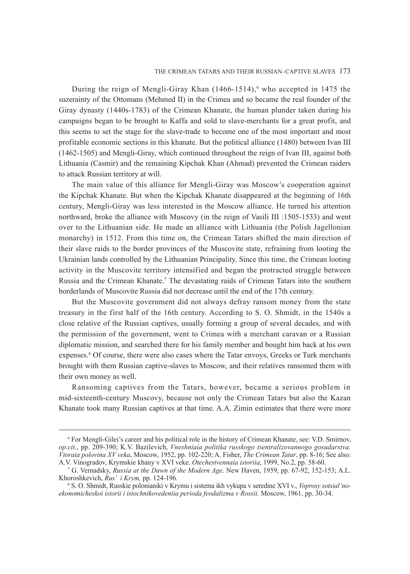During the reign of Mengli-Giray Khan  $(1466-1514)$ , who accepted in 1475 the suzerainty of the Ottomans (Mehmed II) in the Crimea and so became the real founder of the Giray dynasty (1440s-1783) of the Crimean Khanate, the human plunder taken during his campaigns began to be brought to Kaffa and sold to slave-merchants for a great profit, and this seems to set the stage for the slave-trade to become one of the most important and most profitable economic sections in this khanate. But the political alliance (1480) between Ivan III (1462-1505) and Mengli-Giray, which continued throughout the reign of Ivan III, against both Lithuania (Casmir) and the remaining Kipchak Khan (Ahmad) prevented the Crimean raiders to attack Russian territory at will.

The main value of this alliance for Mengli-Giray was Moscow's cooperation against the Kipchak Khanate. But when the Kipchak Khanate disappeared at the beginning of 16th century, Mengli-Giray was less interested in the Moscow alliance. He turned his attention northward, broke the alliance with Muscovy (in the reign of Vasili III :1505-1533) and went over to the Lithuanian side. He made an alliance with Lithuania (the Polish Jagellonian monarchy) in 1512. From this time on, the Crimean Tatars shifted the main direction of their slave raids to the border provinces of the Muscovite state, refraining from looting the Ukrainian lands controlled by the Lithuanian Principality. Since this time, the Crimean looting activity in the Muscovite territory intensified and began the protracted struggle between Russia and the Crimean Khanate.7 The devastating raids of Crimean Tatars into the southern borderlands of Muscovite Russia did not decrease until the end of the 17th century.

But the Muscovite government did not always defray ransom money from the state treasury in the first half of the 16th century. According to S. O. Shmidt, in the 1540s a close relative of the Russian captives, usually forming a group of several decades, and with the permission of the government, went to Crimea with a merchant caravan or a Russian diplomatic mission, and searched there for his family member and bought him back at his own expenses.<sup>8</sup> Of course, there were also cases where the Tatar envoys, Greeks or Turk merchants brought with them Russian captive-slaves to Moscow, and their relatives ransomed them with their own money as well.

Ransoming captives from the Tatars, however, became a serious problem in mid-sixteenth-century Muscovy, because not only the Crimean Tatars but also the Kazan Khanate took many Russian captives at that time. A.A. Zimin estimates that there were more

<sup>6</sup> For Mengli-Gilei's career and his political role in the history of Crimean Khanate, see: V.D. Smirnov, *op.cit*., pp. 209-390; K.V. Bazilevich, *Vneshniaia politika russkogo tsentralizovannogo gosudarstva. Vtoraia polovina XV veka*, Moscow, 1952, pp. 102-220; A. Fisher, *The Crimean Tatar*, pp. 8-16; See also: A.V. Vinogradov, Krymskie khany v XVI veke. *Otechestvennaia istoriia*, 1999, No.2, pp. 58-60.

<sup>7</sup> G. Vernadsky, *Russia at the Dawn of the Modern Age*. New Haven, 1959, pp. 67-92, 152-153; A.L. Khoroshkevich, *Rus' i Krym,* pp. 124-196. 8

S. O. Shmidt, Russkie polonianiki v Krymu i sistema ikh vykupa v seredine XVI v., *Voprosy sotsial'noekonomicheskoi istorii i istochnikovedeniia perioda feodalizma v Rossii.* Moscow, 1961, pp. 30-34.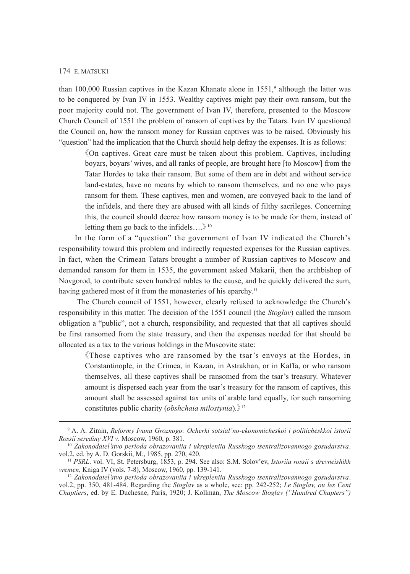than 100,000 Russian captives in the Kazan Khanate alone in 1551,<sup>9</sup> although the latter was to be conquered by Ivan IV in 1553. Wealthy captives might pay their own ransom, but the poor majority could not. The government of Ivan IV, therefore, presented to the Moscow Church Council of 1551 the problem of ransom of captives by the Tatars. Ivan IV questioned the Council on, how the ransom money for Russian captives was to be raised. Obviously his "question" had the implication that the Church should help defray the expenses. It is as follows:

《On captives. Great care must be taken about this problem. Captives, including boyars, boyars' wives, and all ranks of people, are brought here [to Moscow] from the Tatar Hordes to take their ransom. But some of them are in debt and without service land-estates, have no means by which to ransom themselves, and no one who pays ransom for them. These captives, men and women, are conveyed back to the land of the infidels, and there they are abused with all kinds of filthy sacrileges. Concerning this, the council should decree how ransom money is to be made for them, instead of letting them go back to the infidels….》<sup>10</sup>

 In the form of a "question" the government of Ivan IV indicated the Church's responsibility toward this problem and indirectly requested expenses for the Russian captives. In fact, when the Crimean Tatars brought a number of Russian captives to Moscow and demanded ransom for them in 1535, the government asked Makarii, then the archbishop of Novgorod, to contribute seven hundred rubles to the cause, and he quickly delivered the sum, having gathered most of it from the monasteries of his eparchy.<sup>11</sup>

 The Church council of 1551, however, clearly refused to acknowledge the Church's responsibility in this matter. The decision of the 1551 council (the *Stoglav*) called the ransom obligation a "public", not a church, responsibility, and requested that that all captives should be first ransomed from the state treasury, and then the expenses needed for that should be allocated as a tax to the various holdings in the Muscovite state:

《Those captives who are ransomed by the tsar's envoys at the Hordes, in Constantinople, in the Crimea, in Kazan, in Astrakhan, or in Kaffa, or who ransom themselves, all these captives shall be ransomed from the tsar's treasury. Whatever amount is dispersed each year from the tsar's treasury for the ransom of captives, this amount shall be assessed against tax units of arable land equally, for such ransoming constitutes public charity (*obshchaia milostynia*).》<sup>12</sup>

<sup>9</sup> A. A. Zimin, *Reformy Ivana Groznogo: Ocherki sotsial'no-ekonomicheskoi i politicheskkoi istorii Rossii serediny XVI v*. Moscow, 1960, p. 381.

<sup>10</sup> *Zakonodatel'stvo perioda obrazovaniia i ukrepleniia Russkogo tsentralizovannogo gosudarstva*. vol.2, ed. by A. D. Gorskii, M., 1985, pp. 270, 420.

<sup>11</sup> *PSRL*. vol. VI, St. Petersburg, 1853, p. 294. See also: S.M. Solov'ev, *Istoriia rossii s drevneishikh* 

<sup>&</sup>lt;sup>12</sup> Zakonodatel'stvo perioda obrazovaniia i ukrepleniia Russkogo tsentralizovannogo gosudarstva. vol.2, pp. 350, 481-484. Regarding the *Stoglav* as a whole, see: pp. 242-252; *Le Stoglav, ou les Cent Chaptiers*, ed. by E. Duchesne, Paris, 1920; J. Kollman, *The Moscow Stoglav ("Hundred Chapters")*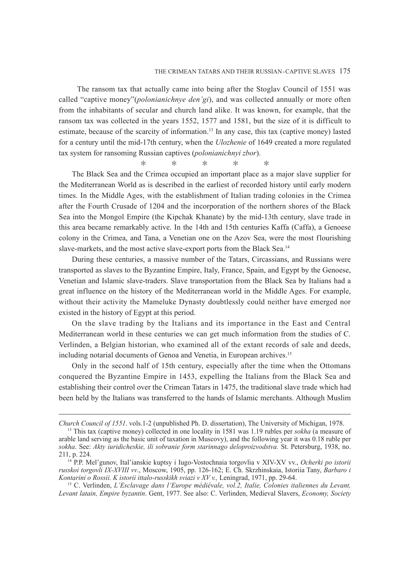The ransom tax that actually came into being after the Stoglav Council of 1551 was called "captive money"(*polonianichnye den'gi*), and was collected annually or more often from the inhabitants of secular and church land alike. It was known, for example, that the ransom tax was collected in the years 1552, 1577 and 1581, but the size of it is difficult to estimate, because of the scarcity of information.13 In any case, this tax (captive money) lasted for a century until the mid-17th century, when the *Ulozhenie* of 1649 created a more regulated tax system for ransoming Russian captives (*polonianichnyi zbor*).

\* \* \* \* \*

The Black Sea and the Crimea occupied an important place as a major slave supplier for the Mediterranean World as is described in the earliest of recorded history until early modern times. In the Middle Ages, with the establishment of Italian trading colonies in the Crimea after the Fourth Crusade of 1204 and the incorporation of the northern shores of the Black Sea into the Mongol Empire (the Kipchak Khanate) by the mid-13th century, slave trade in this area became remarkably active. In the 14th and 15th centuries Kaffa (Caffa), a Genoese colony in the Crimea, and Tana, a Venetian one on the Azov Sea, were the most flourishing slave-markets, and the most active slave-export ports from the Black Sea.<sup>14</sup>

During these centuries, a massive number of the Tatars, Circassians, and Russians were transported as slaves to the Byzantine Empire, Italy, France, Spain, and Egypt by the Genoese, Venetian and Islamic slave-traders. Slave transportation from the Black Sea by Italians had a great influence on the history of the Mediterranean world in the Middle Ages. For example, without their activity the Mameluke Dynasty doubtlessly could neither have emerged nor existed in the history of Egypt at this period.

On the slave trading by the Italians and its importance in the East and Central Mediterranean world in these centuries we can get much information from the studies of C. Verlinden, a Belgian historian, who examined all of the extant records of sale and deeds, including notarial documents of Genoa and Venetia, in European archives.15

Only in the second half of 15th century, especially after the time when the Ottomans conquered the Byzantine Empire in 1453, expelling the Italians from the Black Sea and establishing their control over the Crimean Tatars in 1475, the traditional slave trade which had been held by the Italians was transferred to the hands of Islamic merchants. Although Muslim

*Church Council of 1551*. vols.1-2 (unpublished Ph. D. dissertation), The University of Michigan, 1978.

<sup>&</sup>lt;sup>13</sup> This tax (captive money) collected in one locality in 1581 was 1.19 rubles per *sokha* (a measure of arable land serving as the basic unit of taxation in Muscovy), and the following year it was 0.18 ruble per *sokha*. See: *Akty iuridicheskie, ili sobranie form starinnago deloproizvodstva.* St. Petersburg, 1938, no. 211, p. 224.

<sup>14</sup> P.P. Mel'gunov, Ital'ianskie kuptsy i Iugo-Vostochnaia torgovlia v XIV-XV vv., *Ocherki po istorii russkoi torgovli IX-XVIII vv*., Moscow, 1905, pp. 126-162; E. Ch. Skrzhinskaia, Istoriia Tany, *Barbaro i Kontarini o Rossii. K istorii ittalo-russkikh sviazi v XV v.,* Leningrad, 1971, pp. 29-64.

<sup>15</sup> C. Verlinden, *L'Esclavage dans l'Europe médiévale, vol.2, Italie, Colonies italiennes du Levant, Levant latain, Empire byzantin*. Gent, 1977. See also: C. Verlinden, Medieval Slavers, *Economy, Society*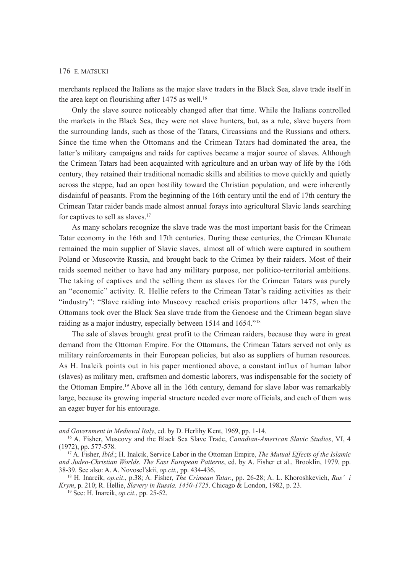merchants replaced the Italians as the major slave traders in the Black Sea, slave trade itself in the area kept on flourishing after  $1475$  as well.<sup>16</sup>

Only the slave source noticeably changed after that time. While the Italians controlled the markets in the Black Sea, they were not slave hunters, but, as a rule, slave buyers from the surrounding lands, such as those of the Tatars, Circassians and the Russians and others. Since the time when the Ottomans and the Crimean Tatars had dominated the area, the latter's military campaigns and raids for captives became a major source of slaves. Although the Crimean Tatars had been acquainted with agriculture and an urban way of life by the 16th century, they retained their traditional nomadic skills and abilities to move quickly and quietly across the steppe, had an open hostility toward the Christian population, and were inherently disdainful of peasants. From the beginning of the 16th century until the end of 17th century the Crimean Tatar raider bands made almost annual forays into agricultural Slavic lands searching for captives to sell as slaves.<sup>17</sup>

As many scholars recognize the slave trade was the most important basis for the Crimean Tatar economy in the 16th and 17th centuries. During these centuries, the Crimean Khanate remained the main supplier of Slavic slaves, almost all of which were captured in southern Poland or Muscovite Russia, and brought back to the Crimea by their raiders. Most of their raids seemed neither to have had any military purpose, nor politico-territorial ambitions. The taking of captives and the selling them as slaves for the Crimean Tatars was purely an "economic" activity. R. Hellie refers to the Crimean Tatar's raiding activities as their "industry": "Slave raiding into Muscovy reached crisis proportions after 1475, when the Ottomans took over the Black Sea slave trade from the Genoese and the Crimean began slave raiding as a major industry, especially between 1514 and 1654."18

The sale of slaves brought great profit to the Crimean raiders, because they were in great demand from the Ottoman Empire. For the Ottomans, the Crimean Tatars served not only as military reinforcements in their European policies, but also as suppliers of human resources. As H. Inalcik points out in his paper mentioned above, a constant influx of human labor (slaves) as military men, craftsmen and domestic laborers, was indispensable for the society of the Ottoman Empire.19 Above all in the 16th century, demand for slave labor was remarkably large, because its growing imperial structure needed ever more officials, and each of them was an eager buyer for his entourage.

*and Government in Medieval Italy*, ed. by D. Herlihy Kent, 1969, pp. 1-14.

<sup>16</sup> A. Fisher, Muscovy and the Black Sea Slave Trade, *Canadian-American Slavic Studies*, VI, 4 (1972), pp. 577-578.

<sup>17</sup> A. Fisher, *Ibid*.; H. Inalcik, Service Labor in the Ottoman Empire, *The Mutual Effects of the Islamic and Judeo-Christian Worlds. The East European Patterns*, ed. by A. Fisher et al., Brooklin, 1979, pp. 38-39. See also: A. A. Novosel'skii, *op.cit.,* pp. 434-436.

<sup>18</sup> H. Inarcik, *op.cit*., p.38; A. Fisher, *The Crimean Tatar.*, pp. 26-28; A. L. Khoroshkevich, *Rus' i Krym*, p. 210; R. Hellie, *Slavery in Russia. 1450-1725*. Chicago & London, 1982, p. 23.

<sup>19</sup> See: H. Inarcik, *op.cit*., pp. 25-52.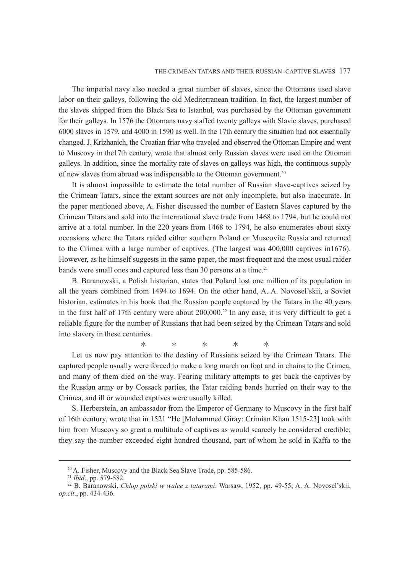The imperial navy also needed a great number of slaves, since the Ottomans used slave labor on their galleys, following the old Mediterranean tradition. In fact, the largest number of the slaves shipped from the Black Sea to Istanbul, was purchased by the Ottoman government for their galleys. In 1576 the Ottomans navy staffed twenty galleys with Slavic slaves, purchased 6000 slaves in 1579, and 4000 in 1590 as well. In the 17th century the situation had not essentially changed. J. Krizhanich, the Croatian friar who traveled and observed the Ottoman Empire and went to Muscovy in the17th century, wrote that almost only Russian slaves were used on the Ottoman galleys. In addition, since the mortality rate of slaves on galleys was high, the continuous supply of new slaves from abroad was indispensable to the Ottoman government.20

It is almost impossible to estimate the total number of Russian slave-captives seized by the Crimean Tatars, since the extant sources are not only incomplete, but also inaccurate. In the paper mentioned above, A. Fisher discussed the number of Eastern Slaves captured by the Crimean Tatars and sold into the international slave trade from 1468 to 1794, but he could not arrive at a total number. In the 220 years from 1468 to 1794, he also enumerates about sixty occasions where the Tatars raided either southern Poland or Muscovite Russia and returned to the Crimea with a large number of captives. (The largest was 400,000 captives in1676). However, as he himself suggests in the same paper, the most frequent and the most usual raider bands were small ones and captured less than 30 persons at a time.<sup>21</sup>

B. Baranowski, a Polish historian, states that Poland lost one million of its population in all the years combined from 1494 to 1694. On the other hand, A. A. Novosel'skii, a Soviet historian, estimates in his book that the Russian people captured by the Tatars in the 40 years in the first half of 17th century were about  $200,000<sup>22</sup>$  In any case, it is very difficult to get a reliable figure for the number of Russians that had been seized by the Crimean Tatars and sold into slavery in these centuries.

\* \* \* \* \*

Let us now pay attention to the destiny of Russians seized by the Crimean Tatars. The captured people usually were forced to make a long march on foot and in chains to the Crimea, and many of them died on the way. Fearing military attempts to get back the captives by the Russian army or by Cossack parties, the Tatar raiding bands hurried on their way to the Crimea, and ill or wounded captives were usually killed.

S. Herberstein, an ambassador from the Emperor of Germany to Muscovy in the first half of 16th century, wrote that in 1521 "He [Mohammed Giray: Crimian Khan 1515-23] took with him from Muscovy so great a multitude of captives as would scarcely be considered credible; they say the number exceeded eight hundred thousand, part of whom he sold in Kaffa to the

<sup>20</sup> A. Fisher, Muscovy and the Black Sea Slave Trade, pp. 585-586.

<sup>21</sup> *Ibid*., pp. 579-582.

<sup>22</sup> B. Baranowski, *Chlop polski w walce z tatarami*. Warsaw, 1952, pp. 49-55; A. A. Novosel'skii, *op.cit*., pp. 434-436.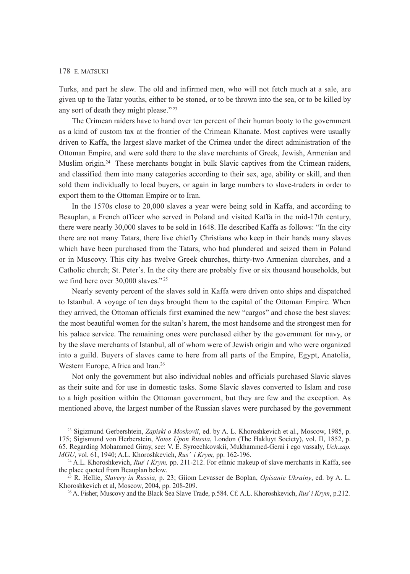Turks, and part he slew. The old and infirmed men, who will not fetch much at a sale, are given up to the Tatar youths, either to be stoned, or to be thrown into the sea, or to be killed by any sort of death they might please." <sup>23</sup>

The Crimean raiders have to hand over ten percent of their human booty to the government as a kind of custom tax at the frontier of the Crimean Khanate. Most captives were usually driven to Kaffa, the largest slave market of the Crimea under the direct administration of the Ottoman Empire, and were sold there to the slave merchants of Greek, Jewish, Armenian and Muslim origin.24 These merchants bought in bulk Slavic captives from the Crimean raiders, and classified them into many categories according to their sex, age, ability or skill, and then sold them individually to local buyers, or again in large numbers to slave-traders in order to export them to the Ottoman Empire or to Iran.

In the 1570s close to 20,000 slaves a year were being sold in Kaffa, and according to Beauplan, a French officer who served in Poland and visited Kaffa in the mid-17th century, there were nearly 30,000 slaves to be sold in 1648. He described Kaffa as follows: "In the city there are not many Tatars, there live chiefly Christians who keep in their hands many slaves which have been purchased from the Tatars, who had plundered and seized them in Poland or in Muscovy. This city has twelve Greek churches, thirty-two Armenian churches, and a Catholic church; St. Peter's. In the city there are probably five or six thousand households, but we find here over 30,000 slaves."<sup>25</sup>

Nearly seventy percent of the slaves sold in Kaffa were driven onto ships and dispatched to Istanbul. A voyage of ten days brought them to the capital of the Ottoman Empire. When they arrived, the Ottoman officials first examined the new "cargos" and chose the best slaves: the most beautiful women for the sultan's harem, the most handsome and the strongest men for his palace service. The remaining ones were purchased either by the government for navy, or by the slave merchants of Istanbul, all of whom were of Jewish origin and who were organized into a guild. Buyers of slaves came to here from all parts of the Empire, Egypt, Anatolia, Western Europe, Africa and Iran.<sup>26</sup>

Not only the government but also individual nobles and officials purchased Slavic slaves as their suite and for use in domestic tasks. Some Slavic slaves converted to Islam and rose to a high position within the Ottoman government, but they are few and the exception. As mentioned above, the largest number of the Russian slaves were purchased by the government

<sup>23</sup> Sigizmund Gerbershtein, *Zapiski o Moskovii*, ed. by A. L. Khoroshkevich et al., Moscow, 1985, p. 175; Sigismund von Herberstein, *Notes Upon Russia*, London (The Hakluyt Society), vol. II, 1852, p. 65. Regarding Mohammed Giray, see: V. E. Syroechkovskii, Mukhammed-Gerai i ego vassaly, *Uch.zap. MGU*, vol. 61, 1940; A.L. Khoroshkevich, *Rus' i Krym,* pp. 162-196.

<sup>&</sup>lt;sup>24</sup> A.L. Khoroshkevich, *Rus' i Krym*, pp. 211-212. For ethnic makeup of slave merchants in Kaffa, see the place quoted from Beauplan below.

<sup>25</sup> R. Hellie, *Slavery in Russia,* p. 23; Giiom Levasser de Boplan, *Opisanie Ukrainy*, ed. by A. L. Khoroshkevich et al, Moscow, 2004, pp. 208-209.

<sup>26</sup> A. Fisher, Muscovy and the Black Sea Slave Trade, p.584. Cf. A.L. Khoroshkevich, *Rus' i Krym*, p.212.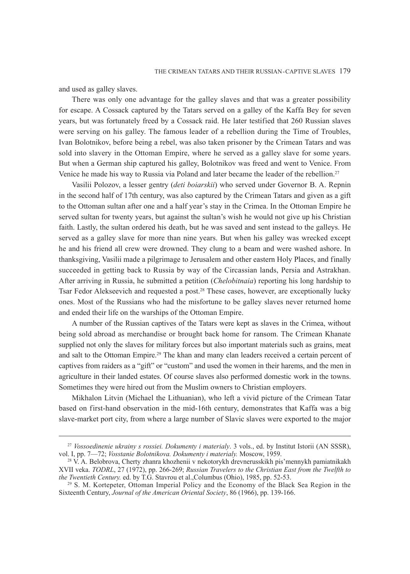and used as galley slaves.

There was only one advantage for the galley slaves and that was a greater possibility for escape. A Cossack captured by the Tatars served on a galley of the Kaffa Bey for seven years, but was fortunately freed by a Cossack raid. He later testified that 260 Russian slaves were serving on his galley. The famous leader of a rebellion during the Time of Troubles, Ivan Bolotnikov, before being a rebel, was also taken prisoner by the Crimean Tatars and was sold into slavery in the Ottoman Empire, where he served as a galley slave for some years. But when a German ship captured his galley, Bolotnikov was freed and went to Venice. From Venice he made his way to Russia via Poland and later became the leader of the rebellion.<sup>27</sup>

Vasilii Polozov, a lesser gentry (*deti boiarskii*) who served under Governor B. A. Repnin in the second half of 17th century, was also captured by the Crimean Tatars and given as a gift to the Ottoman sultan after one and a half year's stay in the Crimea. In the Ottoman Empire he served sultan for twenty years, but against the sultan's wish he would not give up his Christian faith. Lastly, the sultan ordered his death, but he was saved and sent instead to the galleys. He served as a galley slave for more than nine years. But when his galley was wrecked except he and his friend all crew were drowned. They clung to a beam and were washed ashore. In thanksgiving, Vasilii made a pilgrimage to Jerusalem and other eastern Holy Places, and finally succeeded in getting back to Russia by way of the Circassian lands, Persia and Astrakhan. After arriving in Russia, he submitted a petition (*Chelobitnaia*) reporting his long hardship to Tsar Fedor Alekseevich and requested a post.28 These cases, however, are exceptionally lucky ones. Most of the Russians who had the misfortune to be galley slaves never returned home and ended their life on the warships of the Ottoman Empire.

A number of the Russian captives of the Tatars were kept as slaves in the Crimea, without being sold abroad as merchandise or brought back home for ransom. The Crimean Khanate supplied not only the slaves for military forces but also important materials such as grains, meat and salt to the Ottoman Empire.<sup>29</sup> The khan and many clan leaders received a certain percent of captives from raiders as a "gift" or "custom" and used the women in their harems, and the men in agriculture in their landed estates. Of course slaves also performed domestic work in the towns. Sometimes they were hired out from the Muslim owners to Christian employers.

Mikhalon Litvin (Michael the Lithuanian), who left a vivid picture of the Crimean Tatar based on first-hand observation in the mid-16th century, demonstrates that Kaffa was a big slave-market port city, from where a large number of Slavic slaves were exported to the major

<sup>27</sup> *Vossoedinenie ukrainy s rossiei. Dokumenty i materialy*. 3 vols., ed. by Institut Istorii (AN SSSR), vol. I, pp. 7—72; *Vosstanie Bolotnikova. Dokumenty i materialy.* Moscow, 1959.

<sup>&</sup>lt;sup>28</sup> V. A. Belobrova, Cherty zhanra khozhenii v nekotorykh drevnerusskikh pis'mennykh pamiatnikakh XVII veka. *TODRL*, 27 (1972), pp. 266-269; *Russian Travelers to the Christian East from the Twelfth to* 

<sup>&</sup>lt;sup>29</sup> S. M. Kortepeter, Ottoman Imperial Policy and the Economy of the Black Sea Region in the Sixteenth Century, *Journal of the American Oriental Society*, 86 (1966), pp. 139-166.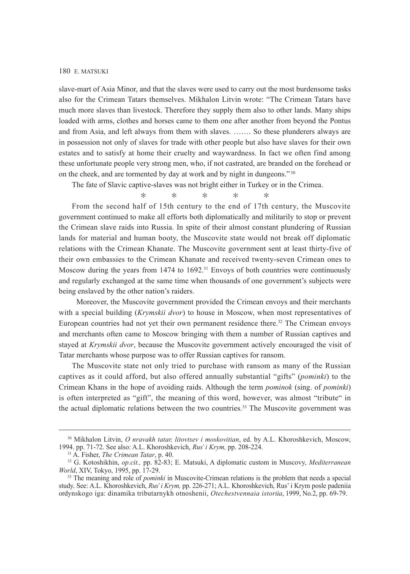slave-mart of Asia Minor, and that the slaves were used to carry out the most burdensome tasks also for the Crimean Tatars themselves. Mikhalon Litvin wrote: "The Crimean Tatars have much more slaves than livestock. Therefore they supply them also to other lands. Many ships loaded with arms, clothes and horses came to them one after another from beyond the Pontus and from Asia, and left always from them with slaves. ……. So these plunderers always are in possession not only of slaves for trade with other people but also have slaves for their own estates and to satisfy at home their cruelty and waywardness. In fact we often find among these unfortunate people very strong men, who, if not castrated, are branded on the forehead or on the cheek, and are tormented by day at work and by night in dungeons." <sup>30</sup>

The fate of Slavic captive-slaves was not bright either in Turkey or in the Crimea.

$$
\ast\qquad \ast\qquad \ast\qquad \ast\qquad \ast
$$

From the second half of 15th century to the end of 17th century, the Muscovite government continued to make all efforts both diplomatically and militarily to stop or prevent the Crimean slave raids into Russia. In spite of their almost constant plundering of Russian lands for material and human booty, the Muscovite state would not break off diplomatic relations with the Crimean Khanate. The Muscovite government sent at least thirty-five of their own embassies to the Crimean Khanate and received twenty-seven Crimean ones to Moscow during the years from 1474 to 1692.<sup>31</sup> Envoys of both countries were continuously and regularly exchanged at the same time when thousands of one government's subjects were being enslaved by the other nation's raiders.

 Moreover, the Muscovite government provided the Crimean envoys and their merchants with a special building (*Krymskii dvor*) to house in Moscow, when most representatives of European countries had not yet their own permanent residence there.<sup>32</sup> The Crimean envoys and merchants often came to Moscow bringing with them a number of Russian captives and stayed at *Krymskii dvor*, because the Muscovite government actively encouraged the visit of Tatar merchants whose purpose was to offer Russian captives for ransom.

The Muscovite state not only tried to purchase with ransom as many of the Russian captives as it could afford, but also offered annually substantial "gifts" (*pominki*) to the Crimean Khans in the hope of avoiding raids. Although the term *pominok* (sing. of *pominki*) is often interpreted as "gift", the meaning of this word, however, was almost "tribute" in the actual diplomatic relations between the two countries.33 The Muscovite government was

<sup>30</sup> Mikhalon Litvin, *O nravakh tatar, litovtsev i moskovitian*, ed. by A.L. Khoroshkevich, Moscow, 1994. pp. 71-72. See also: A.L. Khoroshkevich, *Rus' i Krym,* pp. 208-224.

<sup>31</sup> A. Fisher, *The Crimean Tatar*, p. 40.

<sup>32</sup> G. Kotoshikhin, *op.cit.,* pp. 82-83; E. Matsuki, A diplomatic custom in Muscovy, *Mediterranean World*, XIV, Tokyo, 1995, pp. 17-29.

<sup>&</sup>lt;sup>33</sup> The meaning and role of *pominki* in Muscovite-Crimean relations is the problem that needs a special study. See: A.L. Khoroshkevich, *Rus' i Krym,* pp. 226-271; A.L. Khoroshkevich, Rus' i Krym posle padeniia ordynskogo iga: dinamika tributarnykh otnoshenii, *Otechestvennaia istoriia*, 1999, No.2, pp. 69-79.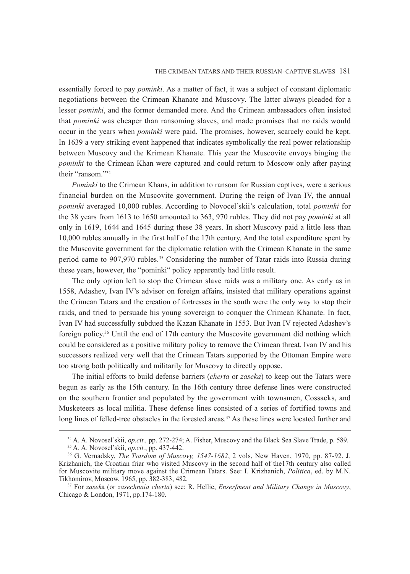essentially forced to pay *pominki*. As a matter of fact, it was a subject of constant diplomatic negotiations between the Crimean Khanate and Muscovy. The latter always pleaded for a lesser *pominki*, and the former demanded more. And the Crimean ambassadors often insisted that *pominki* was cheaper than ransoming slaves, and made promises that no raids would occur in the years when *pominki* were paid. The promises, however, scarcely could be kept. In 1639 a very striking event happened that indicates symbolically the real power relationship between Muscovy and the Krimean Khanate. This year the Muscovite envoys binging the *pominki* to the Crimean Khan were captured and could return to Moscow only after paying their "ransom"<sup>34</sup>

*Pominki* to the Crimean Khans, in addition to ransom for Russian captives, were a serious financial burden on the Muscovite government. During the reign of Ivan IV, the annual *pominki* averaged 10,000 rubles. According to Novocel'skii's calculation, total *pominki* for the 38 years from 1613 to 1650 amounted to 363, 970 rubles. They did not pay *pominki* at all only in 1619, 1644 and 1645 during these 38 years. In short Muscovy paid a little less than 10,000 rubles annually in the first half of the 17th century. And the total expenditure spent by the Muscovite government for the diplomatic relation with the Crimean Khanate in the same period came to 907,970 rubles.35 Considering the number of Tatar raids into Russia during these years, however, the "pominki" policy apparently had little result.

The only option left to stop the Crimean slave raids was a military one. As early as in 1558, Adashev, Ivan IV's advisor on foreign affairs, insisted that military operations against the Crimean Tatars and the creation of fortresses in the south were the only way to stop their raids, and tried to persuade his young sovereign to conquer the Crimean Khanate. In fact, Ivan IV had successfully subdued the Kazan Khanate in 1553. But Ivan IV rejected Adashev's foreign policy.36 Until the end of 17th century the Muscovite government did nothing which could be considered as a positive military policy to remove the Crimean threat. Ivan IV and his successors realized very well that the Crimean Tatars supported by the Ottoman Empire were too strong both politically and militarily for Muscovy to directly oppose.

The initial efforts to build defense barriers (*cherta* or *zaseka*) to keep out the Tatars were begun as early as the 15th century. In the 16th century three defense lines were constructed on the southern frontier and populated by the government with townsmen, Cossacks, and Musketeers as local militia. These defense lines consisted of a series of fortified towns and long lines of felled-tree obstacles in the forested areas.<sup>37</sup> As these lines were located further and

<sup>34</sup> A. A. Novosel'skii, *op.cit.,* pp. 272-274; A. Fisher, Muscovy and the Black Sea Slave Trade, p. 589. 35 A. A. Novosel'skii, *op.cit.*, pp. 437-442.

<sup>36</sup> G. Vernadsky, *The Tsardom of Muscovy, 1547-1682*, 2 vols, New Haven, 1970, pp. 87-92. J. Krizhanich, the Croatian friar who visited Muscovy in the second half of the17th century also called for Muscovite military move against the Crimean Tatars. See: I. Krizhanich, *Politica*, ed. by M.N. Tikhomirov, Moscow, 1965, pp. 382-383, 482.

<sup>37</sup> For *zasek*a (or *zasechnaia cherta*) see: R. Hellie, *Enserfment and Military Change in Muscovy*, Chicago & London, 1971, pp.174-180.